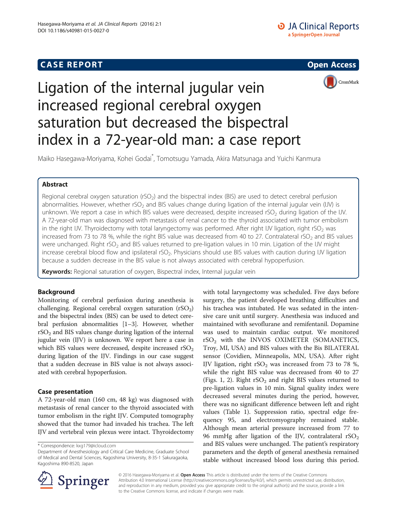## **CASE REPORT And SERVICE SERVICE SERVICE SERVICE SERVICE SERVICE SERVICE SERVICE SERVICE SERVICE SERVICE SERVICE**



# Ligation of the internal jugular vein increased regional cerebral oxygen saturation but decreased the bispectral index in a 72-year-old man: a case report

Maiko Hasegawa-Moriyama, Kohei Godai\* , Tomotsugu Yamada, Akira Matsunaga and Yuichi Kanmura

## Abstract

Regional cerebral oxygen saturation (rSO<sub>2</sub>) and the bispectral index (BIS) are used to detect cerebral perfusion abnormalities. However, whether rSO<sub>2</sub> and BIS values change during ligation of the internal jugular vein (IJV) is unknown. We report a case in which BIS values were decreased, despite increased rSO<sub>2</sub> during ligation of the IJV. A 72-year-old man was diagnosed with metastasis of renal cancer to the thyroid associated with tumor embolism in the right IJV. Thyroidectomy with total laryngectomy was performed. After right IJV ligation, right rSO<sub>2</sub> was increased from 73 to 78 %, while the right BIS value was decreased from 40 to 27. Contralateral  $rSO<sub>2</sub>$  and BIS values were unchanged. Right rSO<sub>2</sub> and BIS values returned to pre-ligation values in 10 min. Ligation of the IJV might increase cerebral blood flow and ipsilateral rSO<sub>2</sub>. Physicians should use BIS values with caution during IJV ligation because a sudden decrease in the BIS value is not always associated with cerebral hypoperfusion.

Keywords: Regional saturation of oxygen, Bispectral index, Internal jugular vein

## Background

Monitoring of cerebral perfusion during anesthesia is challenging. Regional cerebral oxygen saturation  $(rSO<sub>2</sub>)$ and the bispectral index (BIS) can be used to detect cerebral perfusion abnormalities [[1](#page-3-0)–[3](#page-3-0)]. However, whether  $rSO<sub>2</sub>$  and BIS values change during ligation of the internal jugular vein (IJV) is unknown. We report here a case in which BIS values were decreased, despite increased  $rSO<sub>2</sub>$ during ligation of the IJV. Findings in our case suggest that a sudden decrease in BIS value is not always associated with cerebral hypoperfusion.

### Case presentation

A 72-year-old man (160 cm, 48 kg) was diagnosed with metastasis of renal cancer to the thyroid associated with tumor embolism in the right IJV. Computed tomography showed that the tumor had invaded his trachea. The left IJV and vertebral vein plexus were intact. Thyroidectomy

with total laryngectomy was scheduled. Five days before surgery, the patient developed breathing difficulties and his trachea was intubated. He was sedated in the intensive care unit until surgery. Anesthesia was induced and maintained with sevoflurane and remifentanil. Dopamine was used to maintain cardiac output. We monitored  $rSO<sub>2</sub>$  with the INVOS OXIMETER (SOMANETICS, Troy, MI, USA) and BIS values with the Bis BILATERAL sensor (Covidien, Minneapolis, MN, USA). After right IJV ligation, right  $rSO<sub>2</sub>$  was increased from 73 to 78 %, while the right BIS value was decreased from 40 to 27 (Figs. [1, 2](#page-1-0)). Right  $rSO<sub>2</sub>$  and right BIS values returned to pre-ligation values in 10 min. Signal quality index were decreased several minutes during the period, however, there was no significant difference between left and right values (Table [1\)](#page-2-0). Suppression ratio, spectral edge frequency 95, and electromyography remained stable. Although mean arterial pressure increased from 77 to 96 mmHg after ligation of the IJV, contralateral  $rSO<sub>2</sub>$ and BIS values were unchanged. The patient's respiratory parameters and the depth of general anesthesia remained stable without increased blood loss during this period.



© 2016 Hasegawa-Moriyama et al. Open Access This article is distributed under the terms of the Creative Commons Attribution 4.0 International License ([http://creativecommons.org/licenses/by/4.0/\)](http://creativecommons.org/licenses/by/4.0/), which permits unrestricted use, distribution, and reproduction in any medium, provided you give appropriate credit to the original author(s) and the source, provide a link to the Creative Commons license, and indicate if changes were made.

<sup>\*</sup> Correspondence: [kxg179@icloud.com](mailto:kxg179@icloud.com)

Department of Anesthesiology and Critical Care Medicine, Graduate School of Medical and Dental Sciences, Kagoshima University, 8-35-1 Sakuragaoka, Kagoshima 890-8520, Japan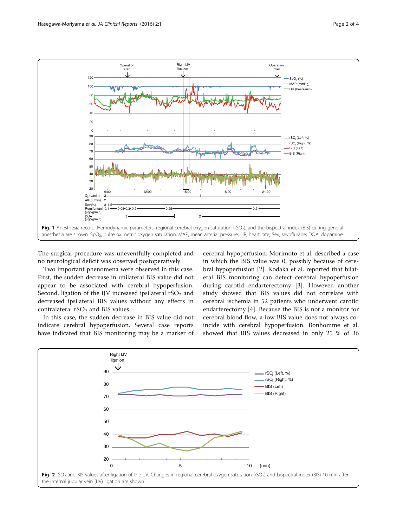<span id="page-1-0"></span>

The surgical procedure was uneventfully completed and no neurological deficit was observed postoperatively.

Two important phenomena were observed in this case. First, the sudden decrease in unilateral BIS value did not appear to be associated with cerebral hypoperfusion. Second, ligation of the IJV increased ipsilateral  $rSO<sub>2</sub>$  and decreased ipsilateral BIS values without any effects in contralateral  $rSO<sub>2</sub>$  and BIS values.

In this case, the sudden decrease in BIS value did not indicate cerebral hypoperfusion. Several case reports have indicated that BIS monitoring may be a marker of

cerebral hypoperfusion. Morimoto et al. described a case in which the BIS value was 0, possibly because of cerebral hypoperfusion [[2\]](#page-3-0). Kodaka et al. reported that bilateral BIS monitoring can detect cerebral hypoperfusion during carotid endarterectomy [\[3](#page-3-0)]. However, another study showed that BIS values did not correlate with cerebral ischemia in 52 patients who underwent carotid endarterectomy [\[4\]](#page-3-0). Because the BIS is not a monitor for cerebral blood flow, a low BIS value does not always coincide with cerebral hypoperfusion. Bonhomme et al. showed that BIS values decreased in only 25 % of 36

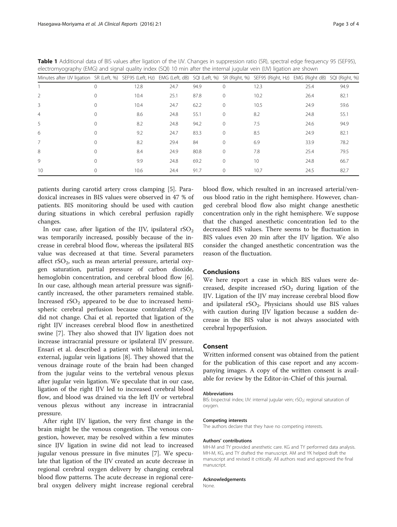| electromyography (EMG) and signal quality index (SQI) 10 min after the internal jugular vein (IJV) ligation are shown |   |      |      |      |          |                 |                |                |
|-----------------------------------------------------------------------------------------------------------------------|---|------|------|------|----------|-----------------|----------------|----------------|
| Minutes after IJV ligation SR (Left, %) SEF95 (Left, Hz) EMG (Left, dB) SQI (Left, %) SR (Right, %) SEF95 (Right, Hz) |   |      |      |      |          |                 | EMG (Right dB) | SQI (Right, %) |
|                                                                                                                       |   | 12.8 | 24.7 | 94.9 | 0        | 12.3            | 25.4           | 94.9           |
|                                                                                                                       |   | 10.4 | 25.1 | 87.8 | 0        | 10.2            | 26.4           | 82.1           |
| 3                                                                                                                     |   | 10.4 | 24.7 | 62.2 | $\Omega$ | 10.5            | 24.9           | 59.6           |
| 4                                                                                                                     |   | 8.6  | 24.8 | 55.1 | $\Omega$ | 8.2             | 24.8           | 55.1           |
| 5                                                                                                                     |   | 8.2  | 24.8 | 94.2 | 0        | 7.5             | 24.6           | 94.9           |
| 6                                                                                                                     |   | 9.2  | 24.7 | 83.3 | 0        | 8.5             | 24.9           | 82.1           |
|                                                                                                                       | ∩ | 8.2  | 29.4 | 84   | 0        | 6.9             | 33.9           | 78.2           |
| 8                                                                                                                     |   | 8.4  | 24.9 | 80.8 | $\Omega$ | 7.8             | 25.4           | 79.5           |
| $\mathsf{Q}$                                                                                                          |   | 9.9  | 24.8 | 69.2 | 0        | 10 <sup>2</sup> | 24.8           | 66.7           |
| 10                                                                                                                    |   | 10.6 | 24.4 | 91.7 | 0        | 10.7            | 24.5           | 82.7           |

<span id="page-2-0"></span>Table 1 Additional data of BIS values after ligation of the IJV. Changes in suppression ratio (SR), spectral edge frequency 95 (SEF95), electromyography (EMG) and signal quality index (SQI) 10 min after the internal jugular vein (IJV) ligation are shown

patients during carotid artery cross clamping [[5](#page-3-0)]. Paradoxical increases in BIS values were observed in 47 % of patients. BIS monitoring should be used with caution during situations in which cerebral perfusion rapidly changes.

In our case, after ligation of the IJV, ipsilateral  $rSO<sub>2</sub>$ was temporarily increased, possibly because of the increase in cerebral blood flow, whereas the ipsilateral BIS value was decreased at that time. Several parameters affect  $rSO<sub>2</sub>$ , such as mean arterial pressure, arterial oxygen saturation, partial pressure of carbon dioxide, hemoglobin concentration, and cerebral blood flow [\[6](#page-3-0)]. In our case, although mean arterial pressure was significantly increased, the other parameters remained stable. Increased  $rSO<sub>2</sub>$  appeared to be due to increased hemispheric cerebral perfusion because contralateral  $rSO<sub>2</sub>$ did not change. Chai et al. reported that ligation of the right IJV increases cerebral blood flow in anesthetized swine [\[7](#page-3-0)]. They also showed that IJV ligation does not increase intracranial pressure or ipsilateral IJV pressure. Ensari et al. described a patient with bilateral internal, external, jugular vein ligations [\[8](#page-3-0)]. They showed that the venous drainage route of the brain had been changed from the jugular veins to the vertebral venous plexus after jugular vein ligation. We speculate that in our case, ligation of the right IJV led to increased cerebral blood flow, and blood was drained via the left IJV or vertebral venous plexus without any increase in intracranial pressure.

After right IJV ligation, the very first change in the brain might be the venous congestion. The venous congestion, however, may be resolved within a few minutes since IJV ligation in swine did not lead to increased jugular venous pressure in five minutes [\[7\]](#page-3-0). We speculate that ligation of the IJV created an acute decrease in regional cerebral oxygen delivery by changing cerebral blood flow patterns. The acute decrease in regional cerebral oxygen delivery might increase regional cerebral blood flow, which resulted in an increased arterial/venous blood ratio in the right hemisphere. However, changed cerebral blood flow also might change anesthetic concentration only in the right hemisphere. We suppose that the changed anesthetic concentration led to the decreased BIS values. There seems to be fluctuation in BIS values even 20 min after the IJV ligation. We also consider the changed anesthetic concentration was the reason of the fluctuation.

#### Conclusions

We here report a case in which BIS values were decreased, despite increased  $rSO<sub>2</sub>$  during ligation of the IJV. Ligation of the IJV may increase cerebral blood flow and ipsilateral rSO<sub>2</sub>. Physicians should use BIS values with caution during IJV ligation because a sudden decrease in the BIS value is not always associated with cerebral hypoperfusion.

#### Consent

Written informed consent was obtained from the patient for the publication of this case report and any accompanying images. A copy of the written consent is available for review by the Editor-in-Chief of this journal.

#### Abbreviations

BIS: bispectral index; IJV: internal jugular vein; rSO<sub>2</sub>: regional saturation of oxygen.

#### Competing interests

The authors declare that they have no competing interests.

#### Authors' contributions

MH-M and TY provided anesthetic care. KG and TY performed data analysis. MH-M, KG, and TY drafted the manuscript. AM and YK helped draft the manuscript and revised it critically. All authors read and approved the final manuscript.

#### Acknowledgements

None.